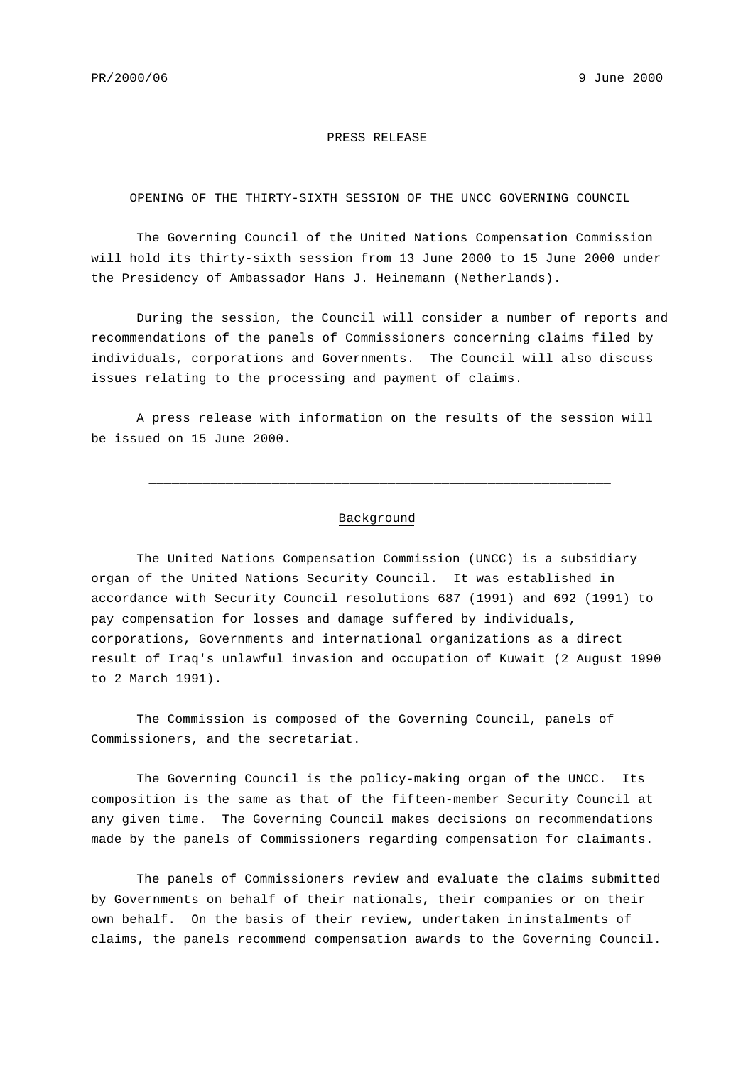## PRESS RELEASE

## OPENING OF THE THIRTY-SIXTH SESSION OF THE UNCC GOVERNING COUNCIL

The Governing Council of the United Nations Compensation Commission will hold its thirty-sixth session from 13 June 2000 to 15 June 2000 under the Presidency of Ambassador Hans J. Heinemann (Netherlands).

During the session, the Council will consider a number of reports and recommendations of the panels of Commissioners concerning claims filed by individuals, corporations and Governments. The Council will also discuss issues relating to the processing and payment of claims.

A press release with information on the results of the session will be issued on 15 June 2000.

## Background

\_\_\_\_\_\_\_\_\_\_\_\_\_\_\_\_\_\_\_\_\_\_\_\_\_\_\_\_\_\_\_\_\_\_\_\_\_\_\_\_\_\_\_\_\_\_\_\_\_\_\_\_\_\_\_\_\_\_\_\_

The United Nations Compensation Commission (UNCC) is a subsidiary organ of the United Nations Security Council. It was established in accordance with Security Council resolutions 687 (1991) and 692 (1991) to pay compensation for losses and damage suffered by individuals, corporations, Governments and international organizations as a direct result of Iraq's unlawful invasion and occupation of Kuwait (2 August 1990 to 2 March 1991).

The Commission is composed of the Governing Council, panels of Commissioners, and the secretariat.

The Governing Council is the policy-making organ of the UNCC. Its composition is the same as that of the fifteen-member Security Council at any given time. The Governing Council makes decisions on recommendations made by the panels of Commissioners regarding compensation for claimants.

The panels of Commissioners review and evaluate the claims submitted by Governments on behalf of their nationals, their companies or on their own behalf. On the basis of their review, undertaken ininstalments of claims, the panels recommend compensation awards to the Governing Council.